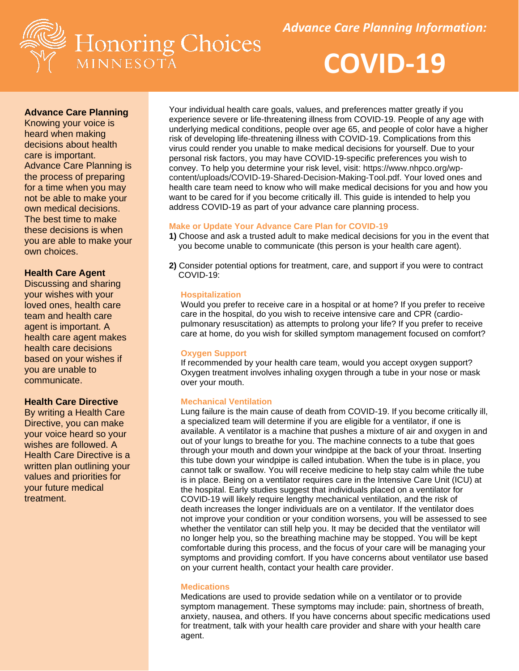



# **Advance Care Planning**

Knowing your voice is heard when making decisions about health care is important. Advance Care Planning is the process of preparing for a time when you may not be able to make your own medical decisions. The best time to make these decisions is when you are able to make your own choices.

### **Health Care Agent**

Discussing and sharing your wishes with your loved ones, health care team and health care agent is important. A health care agent makes health care decisions based on your wishes if you are unable to communicate.

#### **Health Care Directive**

By writing a Health Care Directive, you can make your voice heard so your wishes are followed. A Health Care Directive is a written plan outlining your values and priorities for your future medical treatment.

Your individual health care goals, values, and preferences matter greatly if you experience severe or life-threatening illness from COVID-19. People of any age with underlying medical conditions, people over age 65, and people of color have a higher risk of developing life-threatening illness with COVID-19. Complications from this virus could render you unable to make medical decisions for yourself. Due to your personal risk factors, you may have COVID-19-specific preferences you wish to convey. To help you determine your risk level, visit: https://www.nhpco.org/wpcontent/uploads/COVID-19-Shared-Decision-Making-Tool.pdf. Your loved ones and health care team need to know who will make medical decisions for you and how you want to be cared for if you become critically ill. This guide is intended to help you address COVID-19 as part of your advance care planning process.

### **Make or Update Your Advance Care Plan for COVID-19**

- **1)** Choose and ask a trusted adult to make medical decisions for you in the event that you become unable to communicate (this person is your health care agent).
- **2)** Consider potential options for treatment, care, and support if you were to contract COVID-19:

#### **Hospitalization**

 Would you prefer to receive care in a hospital or at home? If you prefer to receive care in the hospital, do you wish to receive intensive care and CPR (cardio pulmonary resuscitation) as attempts to prolong your life? If you prefer to receive care at home, do you wish for skilled symptom management focused on comfort?

#### **Oxygen Support**

 If recommended by your health care team, would you accept oxygen support? Oxygen treatment involves inhaling oxygen through a tube in your nose or mask over your mouth.

### **Mechanical Ventilation**

Lung failure is the main cause of death from COVID-19. If you become critically ill, a specialized team will determine if you are eligible for a ventilator, if one is available. A ventilator is a machine that pushes a mixture of air and oxygen in and out of your lungs to breathe for you. The machine connects to a tube that goes through your mouth and down your windpipe at the back of your throat. Inserting this tube down your windpipe is called intubation. When the tube is in place, you cannot talk or swallow. You will receive medicine to help stay calm while the tube is in place. Being on a ventilator requires care in the Intensive Care Unit (ICU) at the hospital. Early studies suggest that individuals placed on a ventilator for COVID-19 will likely require lengthy mechanical ventilation, and the risk of death increases the longer individuals are on a ventilator. If the ventilator does not improve your condition or your condition worsens, you will be assessed to see whether the ventilator can still help you. It may be decided that the ventilator will no longer help you, so the breathing machine may be stopped. You will be kept comfortable during this process, and the focus of your care will be managing your symptoms and providing comfort. If you have concerns about ventilator use based on your current health, contact your health care provider.

#### **Medications**

 Medications are used to provide sedation while on a ventilator or to provide symptom management. These symptoms may include: pain, shortness of breath, anxiety, nausea, and others. If you have concerns about specific medications used for treatment, talk with your health care provider and share with your health care agent.